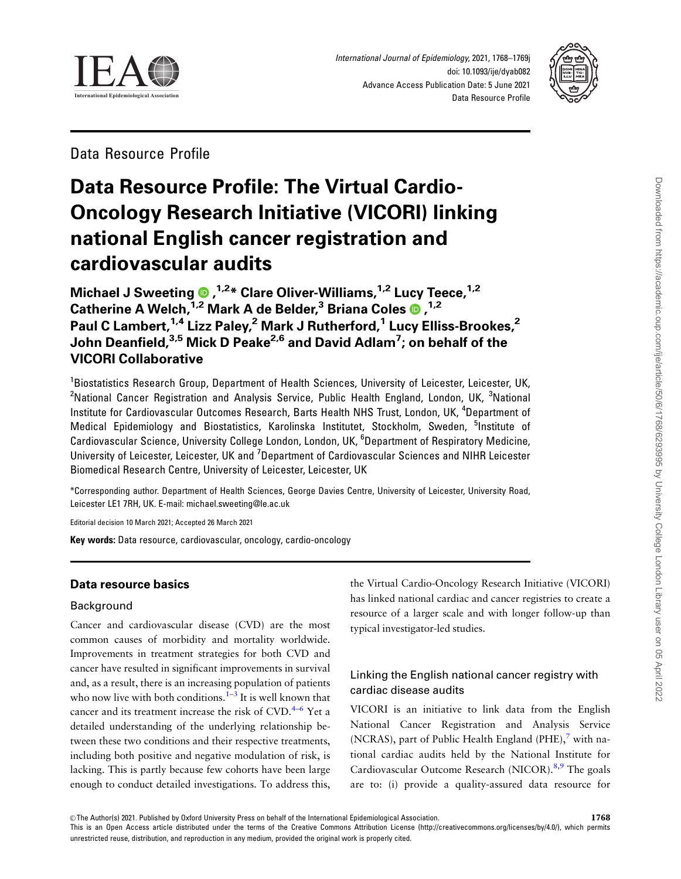<span id="page-0-0"></span>

International Journal of Epidemiology, 2021, 1768–1769j doi: 10.1093/ije/dyab082 Advance Access Publication Date: 5 June 2021 Data Resource Profile



Data Resource Profile

# Data Resource Profile: The Virtual Cardio-Oncology Research Initiative (VICORI) linking national English cancer registration and cardiovascular audits

Michael J Sweeting , 1,2\* Clare Oliver-Williams,1,2 Lucy Teece,1,2 Catherine A Welch,<sup>1,2</sup> Mark A de Belder,<sup>3</sup> Briana Coles **O** ,<sup>1,2</sup> Paul C Lambert,<sup>1,4</sup> Lizz Paley,<sup>2</sup> Mark J Rutherford,<sup>1</sup> Lucy Elliss-Brookes,<sup>2</sup> John Deanfield,<sup>3,5</sup> Mick D Peake<sup>2,6</sup> and David Adlam<sup>7</sup>; on behalf of the VICORI Collaborative

<sup>1</sup>Biostatistics Research Group, Department of Health Sciences, University of Leicester, Leicester, UK, <sup>2</sup>National Cancer Registration and Analysis Service, Public Health England, London, UK, <sup>3</sup>National Institute for Cardiovascular Outcomes Research, Barts Health NHS Trust, London, UK, <sup>4</sup>Department of Medical Epidemiology and Biostatistics, Karolinska Institutet, Stockholm, Sweden, <sup>5</sup>Institute of Cardiovascular Science, University College London, London, UK, <sup>6</sup>Department of Respiratory Medicine, University of Leicester, Leicester, UK and <sup>7</sup>Department of Cardiovascular Sciences and NIHR Leicester Biomedical Research Centre, University of Leicester, Leicester, UK

\*Corresponding author. Department of Health Sciences, George Davies Centre, University of Leicester, University Road, Leicester LE1 7RH, UK. E-mail: michael.sweeting@le.ac.uk

Editorial decision 10 March 2021; Accepted 26 March 2021

Key words: Data resource, cardiovascular, oncology, cardio-oncology

# Data resource basics

# Background

Cancer and cardiovascular disease (CVD) are the most common causes of morbidity and mortality worldwide. Improvements in treatment strategies for both CVD and cancer have resulted in significant improvements in survival and, as a result, there is an increasing population of patients who now live with both conditions. $1-3$  It is well known that cancer and its treatment increase the risk of  $CVD$ .<sup>4–6</sup> Yet a detailed understanding of the underlying relationship between these two conditions and their respective treatments, including both positive and negative modulation of risk, is lacking. This is partly because few cohorts have been large enough to conduct detailed investigations. To address this,

the Virtual Cardio-Oncology Research Initiative (VICORI) has linked national cardiac and cancer registries to create a resource of a larger scale and with longer follow-up than typical investigator-led studies.

# Linking the English national cancer registry with cardiac disease audits

VICORI is an initiative to link data from the English National Cancer Registration and Analysis Service (NCRAS), part of Public Health England (PHE), $^7$  $^7$  with national cardiac audits held by the National Institute for Cardiovascular Outcome Research (NICOR).[8,](#page-10-0)[9](#page-11-0) The goals are to: (i) provide a quality-assured data resource for

 $\heartsuit$ The Author(s) 2021. Published by Oxford University Press on behalf of the International Epidemiological Association. This is an Open Access article distributed under the terms of the Creative Commons Attribution License (http://creativecommons.org/licenses/by/4.0/), which permits unrestricted reuse, distribution, and reproduction in any medium, provided the original work is properly cited.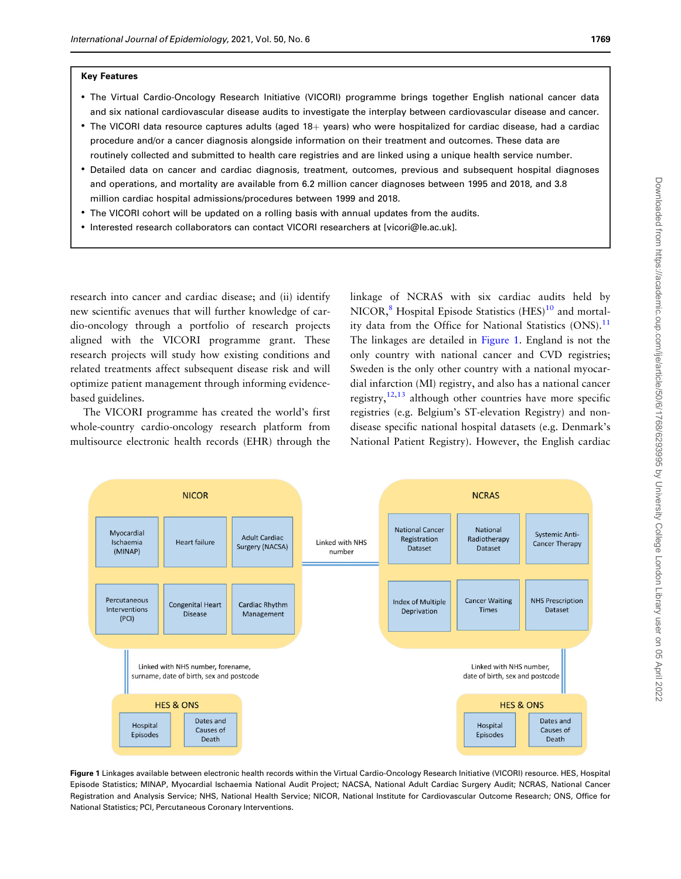#### <span id="page-1-0"></span>Key Features

- The Virtual Cardio-Oncology Research Initiative (VICORI) programme brings together English national cancer data and six national cardiovascular disease audits to investigate the interplay between cardiovascular disease and cancer.
- The VICORI data resource captures adults (aged 18+ years) who were hospitalized for cardiac disease, had a cardiac procedure and/or a cancer diagnosis alongside information on their treatment and outcomes. These data are routinely collected and submitted to health care registries and are linked using a unique health service number.
- Detailed data on cancer and cardiac diagnosis, treatment, outcomes, previous and subsequent hospital diagnoses and operations, and mortality are available from 6.2 million cancer diagnoses between 1995 and 2018, and 3.8 million cardiac hospital admissions/procedures between 1999 and 2018.
- The VICORI cohort will be updated on a rolling basis with annual updates from the audits.
- Interested research collaborators can contact VICORI researchers at [vicori@le.ac.uk].

research into cancer and cardiac disease; and (ii) identify new scientific avenues that will further knowledge of cardio-oncology through a portfolio of research projects aligned with the VICORI programme grant. These research projects will study how existing conditions and related treatments affect subsequent disease risk and will optimize patient management through informing evidencebased guidelines.

The VICORI programme has created the world's first whole-country cardio-oncology research platform from multisource electronic health records (EHR) through the linkage of NCRAS with six cardiac audits held by NICOR, ${}^{8}$  ${}^{8}$  ${}^{8}$  Hospital Episode Statistics (HES) ${}^{10}$  ${}^{10}$  ${}^{10}$  and mortality data from the Office for National Statistics  $(ONS).<sup>11</sup>$  $(ONS).<sup>11</sup>$  $(ONS).<sup>11</sup>$ The linkages are detailed in Figure 1. England is not the only country with national cancer and CVD registries; Sweden is the only other country with a national myocardial infarction (MI) registry, and also has a national cancer registry, $12,13$  although other countries have more specific registries (e.g. Belgium's ST-elevation Registry) and nondisease specific national hospital datasets (e.g. Denmark's National Patient Registry). However, the English cardiac



Figure 1 Linkages available between electronic health records within the Virtual Cardio-Oncology Research Initiative (VICORI) resource. HES, Hospital Episode Statistics; MINAP, Myocardial Ischaemia National Audit Project; NACSA, National Adult Cardiac Surgery Audit; NCRAS, National Cancer Registration and Analysis Service; NHS, National Health Service; NICOR, National Institute for Cardiovascular Outcome Research; ONS, Office for National Statistics; PCI, Percutaneous Coronary Interventions.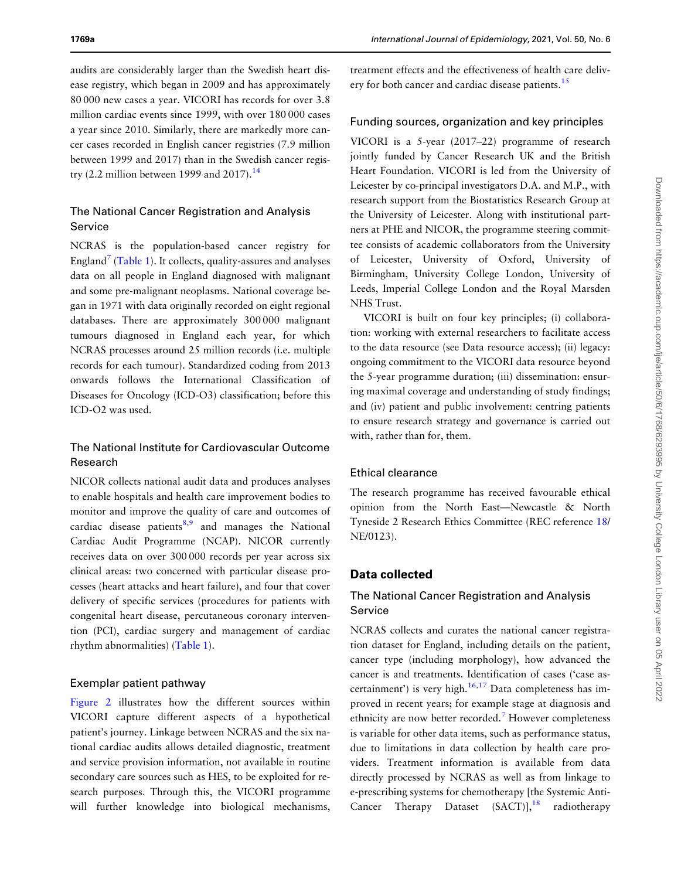<span id="page-2-0"></span>audits are considerably larger than the Swedish heart disease registry, which began in 2009 and has approximately 80 000 new cases a year. VICORI has records for over 3.8 million cardiac events since 1999, with over 180 000 cases a year since 2010. Similarly, there are markedly more cancer cases recorded in English cancer registries (7.9 million between 1999 and 2017) than in the Swedish cancer regis-try (2.2 million between 1999 and 2017).<sup>[14](#page-11-0)</sup>

# The National Cancer Registration and Analysis Service

NCRAS is the population-based cancer registry for England<sup>7</sup> [\(Table 1](#page-3-0)). It collects, quality-assures and analyses data on all people in England diagnosed with malignant and some pre-malignant neoplasms. National coverage began in 1971 with data originally recorded on eight regional databases. There are approximately 300 000 malignant tumours diagnosed in England each year, for which NCRAS processes around 25 million records (i.e. multiple records for each tumour). Standardized coding from 2013 onwards follows the International Classification of Diseases for Oncology (ICD-O3) classification; before this ICD-O2 was used.

# The National Institute for Cardiovascular Outcome Research

NICOR collects national audit data and produces analyses to enable hospitals and health care improvement bodies to monitor and improve the quality of care and outcomes of cardiac disease patients $8,9$  $8,9$  and manages the National Cardiac Audit Programme (NCAP). NICOR currently receives data on over 300 000 records per year across six clinical areas: two concerned with particular disease processes (heart attacks and heart failure), and four that cover delivery of specific services (procedures for patients with congenital heart disease, percutaneous coronary intervention (PCI), cardiac surgery and management of cardiac rhythm abnormalities) [\(Table 1](#page-3-0)).

## Exemplar patient pathway

[Figure 2](#page-6-0) illustrates how the different sources within VICORI capture different aspects of a hypothetical patient's journey. Linkage between NCRAS and the six national cardiac audits allows detailed diagnostic, treatment and service provision information, not available in routine secondary care sources such as HES, to be exploited for research purposes. Through this, the VICORI programme will further knowledge into biological mechanisms,

treatment effects and the effectiveness of health care deliv-ery for both cancer and cardiac disease patients.<sup>[15](#page-11-0)</sup>

## Funding sources, organization and key principles

VICORI is a 5-year (2017–22) programme of research jointly funded by Cancer Research UK and the British Heart Foundation. VICORI is led from the University of Leicester by co-principal investigators D.A. and M.P., with research support from the Biostatistics Research Group at the University of Leicester. Along with institutional partners at PHE and NICOR, the programme steering committee consists of academic collaborators from the University of Leicester, University of Oxford, University of Birmingham, University College London, University of Leeds, Imperial College London and the Royal Marsden NHS Trust.

VICORI is built on four key principles; (i) collaboration: working with external researchers to facilitate access to the data resource (see Data resource access); (ii) legacy: ongoing commitment to the VICORI data resource beyond the 5-year programme duration; (iii) dissemination: ensuring maximal coverage and understanding of study findings; and (iv) patient and public involvement: centring patients to ensure research strategy and governance is carried out with, rather than for, them.

## Ethical clearance

The research programme has received favourable ethical opinion from the North East—Newcastle & North Tyneside 2 Research Ethics Committee (REC reference [18/](#page-11-0) NE/0123).

## Data collected

# The National Cancer Registration and Analysis Service

NCRAS collects and curates the national cancer registration dataset for England, including details on the patient, cancer type (including morphology), how advanced the cancer is and treatments. Identification of cases ('case ascertainment') is very high. $16,17$  Data completeness has improved in recent years; for example stage at diagnosis and ethnicity are now better recorded.[7](#page-10-0) However completeness is variable for other data items, such as performance status, due to limitations in data collection by health care providers. Treatment information is available from data directly processed by NCRAS as well as from linkage to e-prescribing systems for chemotherapy [the Systemic Anti-Cancer Therapy Dataset  $(SACT)$ ],<sup>18</sup> radiotherapy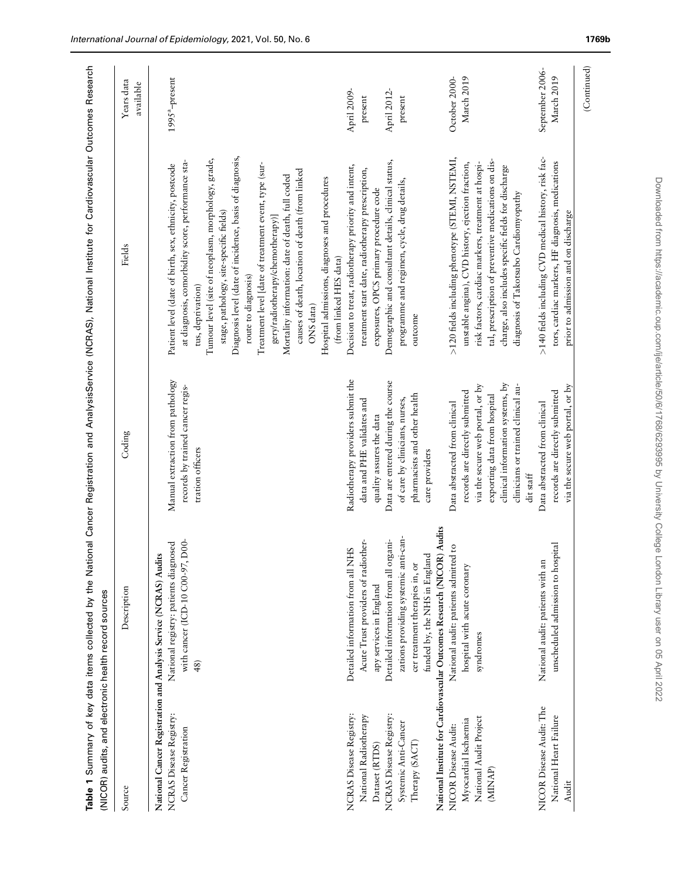<span id="page-3-0"></span>

| Source                                                                                                                                                                                                                                                                                                                                                      | Description                                                                                                                                                                                                                                                                                                                                                                                                                                                                                                                                                                                                                                                     | Coding                                                                                                                                                                                                                                                                                                                                                                                                                                                                                                                                                                                                                                                 | Fields                                                                                                                                                                                                                                                                                                                                                                                                                                                                                                                                                                                                                                                                                                                                                                                                                                                                                                                                                                                                                                                                                                                                                                                                                                                                                                                                                         | Years data                                                                                                                              |
|-------------------------------------------------------------------------------------------------------------------------------------------------------------------------------------------------------------------------------------------------------------------------------------------------------------------------------------------------------------|-----------------------------------------------------------------------------------------------------------------------------------------------------------------------------------------------------------------------------------------------------------------------------------------------------------------------------------------------------------------------------------------------------------------------------------------------------------------------------------------------------------------------------------------------------------------------------------------------------------------------------------------------------------------|--------------------------------------------------------------------------------------------------------------------------------------------------------------------------------------------------------------------------------------------------------------------------------------------------------------------------------------------------------------------------------------------------------------------------------------------------------------------------------------------------------------------------------------------------------------------------------------------------------------------------------------------------------|----------------------------------------------------------------------------------------------------------------------------------------------------------------------------------------------------------------------------------------------------------------------------------------------------------------------------------------------------------------------------------------------------------------------------------------------------------------------------------------------------------------------------------------------------------------------------------------------------------------------------------------------------------------------------------------------------------------------------------------------------------------------------------------------------------------------------------------------------------------------------------------------------------------------------------------------------------------------------------------------------------------------------------------------------------------------------------------------------------------------------------------------------------------------------------------------------------------------------------------------------------------------------------------------------------------------------------------------------------------|-----------------------------------------------------------------------------------------------------------------------------------------|
|                                                                                                                                                                                                                                                                                                                                                             |                                                                                                                                                                                                                                                                                                                                                                                                                                                                                                                                                                                                                                                                 |                                                                                                                                                                                                                                                                                                                                                                                                                                                                                                                                                                                                                                                        |                                                                                                                                                                                                                                                                                                                                                                                                                                                                                                                                                                                                                                                                                                                                                                                                                                                                                                                                                                                                                                                                                                                                                                                                                                                                                                                                                                | available                                                                                                                               |
| NICOR Disease Audit: The<br><b>NCRAS Disease Registry:</b><br><b>NCRAS Disease Registry:</b><br>NCRAS Disease Registry:<br>National Radiotherapy<br>National Heart Failure<br>National Audit Project<br>Myocardial Ischaemia<br>Systemic Anti-Cancer<br>NICOR Disease Audit:<br>Cancer Registration<br>Therapy (SACT)<br>Dataset (RTDS)<br>(MINAP)<br>Audit | National Institute for Cardiovascular Outcomes Research (NICOR) Audits<br>zations providing systemic anti-can-<br>rgani-<br>D00-<br>Acute Trust providers of radiother-<br>National registry: patients diagnosed<br>unscheduled admission to hospital<br>National audit: patients admitted to<br>Detailed information from all NHS<br>National Cancer Registration and Analysis Service (NCRAS) Audits<br>funded by, the NHS in England<br>with cancer (ICD-10 C00-97,<br>Detailed information from all or<br>National audit: patients with an<br>cer treatment therapies in, or<br>hospital with acute coronary<br>apy services in England<br>syndromes<br>48) | Radiotherapy providers submit the<br>Manual extraction from pathology<br>Data are entered during the course<br>clinical information systems, by<br>clinicians or trained clinical au-<br>records by trained cancer regis-<br>via the secure web portal, or by<br>via the secure web portal, or by<br>records are directly submitted<br>records are directly submitted<br>pharmacists and other health<br>exporting data from hospital<br>of care by clinicians, nurses,<br>data and PHE validates and<br>Data abstracted from clinical<br>Data abstracted from clinical<br>quality assures the data<br>tration officers<br>care providers<br>dit staff | Diagnosis level (date of incidence, basis of diagnosis,<br>>140 fields including CVD medical history, risk fac-<br>>120 fields including phenotype (STEMI, NSTEMI,<br>Tumour level (site of neoplasm, morphology, grade,<br>tal, prescription of preventive medications on dis-<br>Demographic and consultant details, clinical status,<br>at diagnosis, comorbidity score, performance sta-<br>tors, cardiac markers, HF diagnosis, medications<br>unstable angina), CVD history, ejection fraction,<br>risk factors, cardiac markers, treatment at hospi-<br>Treatment level [date of treatment event, type (sur-<br>Patient level (date of birth, sex, ethnicity, postcode<br>Decision to treat, radiotherapy priority and intent,<br>charge, also includes specific fields for discharge<br>treatment start date, radiotherapy prescription,<br>causes of death, location of death (from linked<br>Mortality information: date of death, full coded<br>Hospital admissions, diagnoses and procedures<br>programme and regimen, cycle, drug details,<br>exposures, OPCS primary procedure code<br>diagnosis of Takotsubo Cardiomyopathy<br>stage, pathology, site-specific fields)<br>prior to admission and on discharge<br>gery/radiotherapy/chemotherapy)]<br>(from linked HES data)<br>route to diagnosis)<br>tus, deprivation)<br>ONS data)<br>outcome | September 2006-<br>March 2019<br>March 2019<br>October 2000-<br>$1995^a$ -present<br>April 2009-<br>April 2012-<br>$present$<br>present |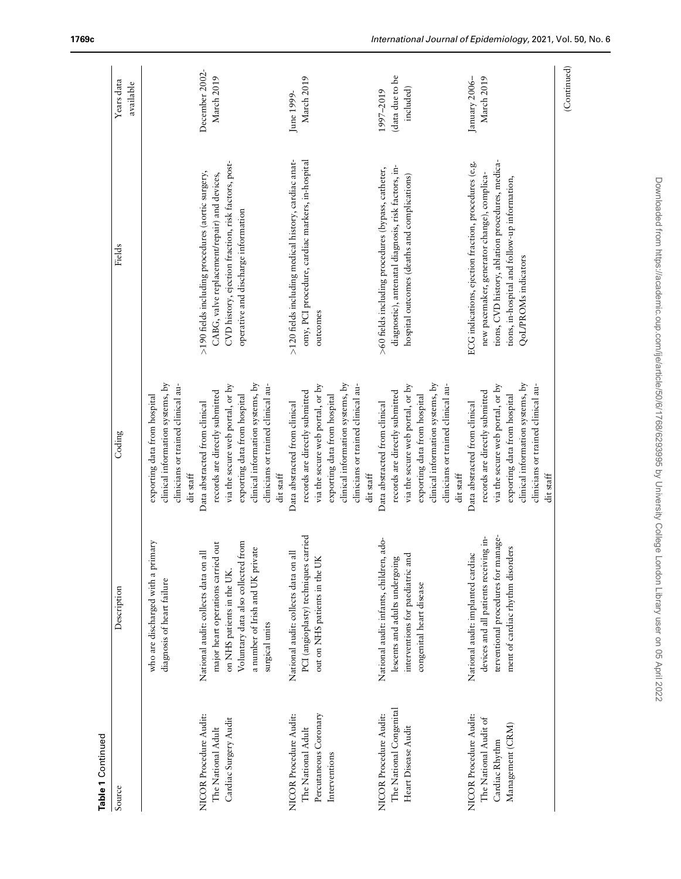| QoL/PROMs indicators<br>outcomes<br>clinical information systems, by<br>clinical information systems, by<br>clinical information systems, by<br>clinical information systems, by<br>clinical information systems, by<br>clinicians or trained clinical au-<br>via the secure web portal, or by<br>clinicians or trained clinical au-<br>via the secure web portal, or by<br>clinicians or trained clinical au-<br>via the secure web portal, or by<br>clinicians or trained clinical au-<br>via the secure web portal, or by<br>clinicians or trained clinical au-<br>records are directly submitted<br>records are directly submitted<br>records are directly submitted<br>records are directly submitted<br>exporting data from hospital<br>exporting data from hospital<br>exporting data from hospital<br>exporting data from hospital<br>exporting data from hospital<br>Data abstracted from clinical<br>Data abstracted from clinical<br>Data abstracted from clinical<br>Data abstracted from clinical<br>dit staff<br>dit staff<br>dit staff<br>dit staff<br>terventional procedures for manage-<br>PCI (angioplasty) techniques carried<br>devices and all patients receiving in-<br>National audit: infants, children, ado-<br>who are discharged with a primary<br>from<br>major heart operations carried out<br>ment of cardiac rhythm disorders<br>a number of Irish and UK private<br>National audit: collects data on all<br>National audit: collects data on all<br>National audit: implanted cardiac<br>interventions for paediatric and<br>out on NHS patients in the UK<br>lescents and adults undergoing<br>Voluntary data also collected<br>on NHS patients in the UK.<br>diagnosis of heart failure<br>congenital heart disease<br>surgical units<br>The National Congenital<br>Percutaneous Coronary<br>NICOR Procedure Audit:<br>NICOR Procedure Audit:<br><b>NICOR</b> Procedure Audit:<br>NICOR Procedure Audit:<br>Cardiac Surgery Audit<br>The National Audit of<br>Management (CRM)<br>Heart Disease Audit<br>The National Adult<br>The National Adult<br>Cardiac Rhythm<br>Interventions | Table 1 Continued<br>Source | Description | Coding    | Fields                                                                                                                                                                                                   | Years data<br>available                   |
|-------------------------------------------------------------------------------------------------------------------------------------------------------------------------------------------------------------------------------------------------------------------------------------------------------------------------------------------------------------------------------------------------------------------------------------------------------------------------------------------------------------------------------------------------------------------------------------------------------------------------------------------------------------------------------------------------------------------------------------------------------------------------------------------------------------------------------------------------------------------------------------------------------------------------------------------------------------------------------------------------------------------------------------------------------------------------------------------------------------------------------------------------------------------------------------------------------------------------------------------------------------------------------------------------------------------------------------------------------------------------------------------------------------------------------------------------------------------------------------------------------------------------------------------------------------------------------------------------------------------------------------------------------------------------------------------------------------------------------------------------------------------------------------------------------------------------------------------------------------------------------------------------------------------------------------------------------------------------------------------------------------------------------------------------------------------------------------------------------------------------|-----------------------------|-------------|-----------|----------------------------------------------------------------------------------------------------------------------------------------------------------------------------------------------------------|-------------------------------------------|
|                                                                                                                                                                                                                                                                                                                                                                                                                                                                                                                                                                                                                                                                                                                                                                                                                                                                                                                                                                                                                                                                                                                                                                                                                                                                                                                                                                                                                                                                                                                                                                                                                                                                                                                                                                                                                                                                                                                                                                                                                                                                                                                         |                             |             |           |                                                                                                                                                                                                          |                                           |
|                                                                                                                                                                                                                                                                                                                                                                                                                                                                                                                                                                                                                                                                                                                                                                                                                                                                                                                                                                                                                                                                                                                                                                                                                                                                                                                                                                                                                                                                                                                                                                                                                                                                                                                                                                                                                                                                                                                                                                                                                                                                                                                         |                             |             |           | CVD history, ejection fraction, risk factors, post-<br>>190 fields including procedures (aortic surgery,<br>CABG, valve replacement/repair) and devices,<br>operative and discharge information          | December 2002-<br>March 2019              |
|                                                                                                                                                                                                                                                                                                                                                                                                                                                                                                                                                                                                                                                                                                                                                                                                                                                                                                                                                                                                                                                                                                                                                                                                                                                                                                                                                                                                                                                                                                                                                                                                                                                                                                                                                                                                                                                                                                                                                                                                                                                                                                                         |                             |             |           | >120 fields including medical history, cardiac anat-<br>omy, PCI procedure, cardiac markers, in-hospital                                                                                                 | March 2019<br>June 1999-                  |
|                                                                                                                                                                                                                                                                                                                                                                                                                                                                                                                                                                                                                                                                                                                                                                                                                                                                                                                                                                                                                                                                                                                                                                                                                                                                                                                                                                                                                                                                                                                                                                                                                                                                                                                                                                                                                                                                                                                                                                                                                                                                                                                         |                             |             |           | diagnostic), antenatal diagnosis, risk factors, in-<br>>60 fields including procedures (bypass, catheter,<br>hospital outcomes (deaths and complications)                                                | (data due to be<br>included)<br>1997-2019 |
|                                                                                                                                                                                                                                                                                                                                                                                                                                                                                                                                                                                                                                                                                                                                                                                                                                                                                                                                                                                                                                                                                                                                                                                                                                                                                                                                                                                                                                                                                                                                                                                                                                                                                                                                                                                                                                                                                                                                                                                                                                                                                                                         |                             |             | dit staff | tions, CVD history, ablation procedures, medica-<br>ECG indications, ejection fraction, procedures (e.g.<br>new pacemaker, generator change), complica-<br>tions, in-hospital and follow-up information, | March 2019<br>January 2006-               |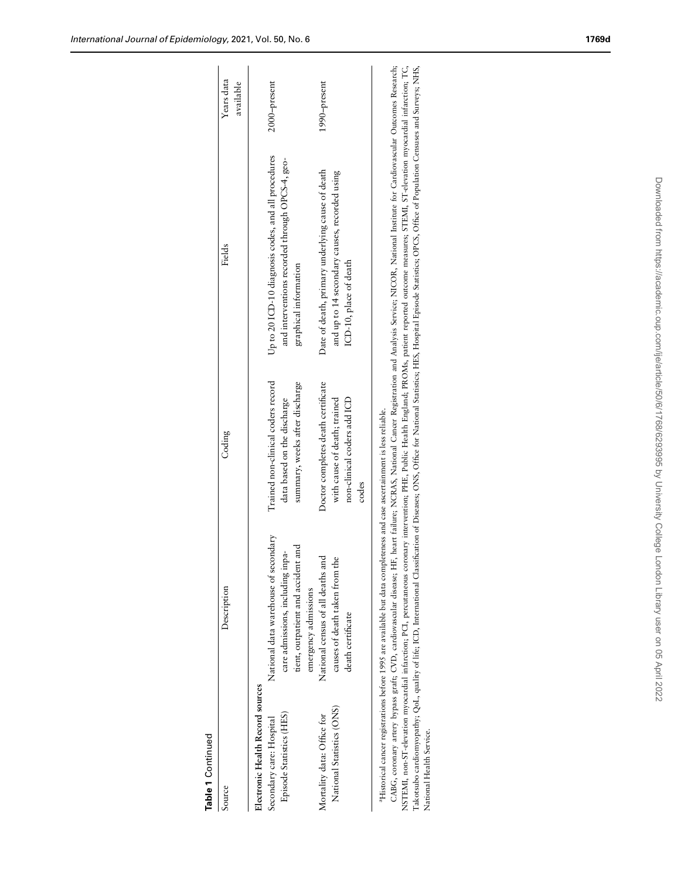| Electronic Health Record sources                     |                                                                         |                                                                   |                                                                                                        |              |
|------------------------------------------------------|-------------------------------------------------------------------------|-------------------------------------------------------------------|--------------------------------------------------------------------------------------------------------|--------------|
| Episode Statistics (HES)<br>Secondary care: Hospital | National data warehouse of secondary<br>care admissions, including inpa | Trained non-clinical coders record<br>data based on the discharge | Up to 20 ICD-10 diagnosis codes, and all procedures<br>and interventions recorded through OPCS-4, geo- | 2000-present |
|                                                      | tient, outpatient and accident and<br>emergency admissions              | summary, weeks after discharge                                    | graphical information                                                                                  |              |
| Mortality data: Office for                           | National census of all deaths and                                       | Doctor completes death certificate                                | Date of death, primary underlying cause of death                                                       | 1990-present |
| National Statistics (ONS)                            | causes of death taken from the                                          | with cause of death; trained                                      | and up to 14 secondary causes, recorded using                                                          |              |
|                                                      | death certificate                                                       | non-clinical coders add ICD                                       | ICD-10, place of death                                                                                 |              |
|                                                      |                                                                         | codes                                                             |                                                                                                        |              |

NSTEMI, non-ST-elevation myocardial infarction; PCI, percutaneous coronary intervention; PHE, Public Health England; PROMs, patient reported outcome measures; STEMI, ST-elevation myocardial infarction; TC,<br>Takotsubo cardio NSTEMI, non-ST-elevation myocardial infarction; PCI, percutaneous coronary intervention; PHE, Public Health England; PROMs, patient reported outcome measures; STEMI, ST-elevation myocardial infarction; TC, Takotsubo cardiomyopathy; QoL, quality of life; ICD, International Classification of Diseases; ONS, Office for National Statistics; HES, Hospital Episode Statistics; OPCS, Office of Population Censuses and Surveys; NHS, National Health Service.

Table 1 Continued

Table 1 Continued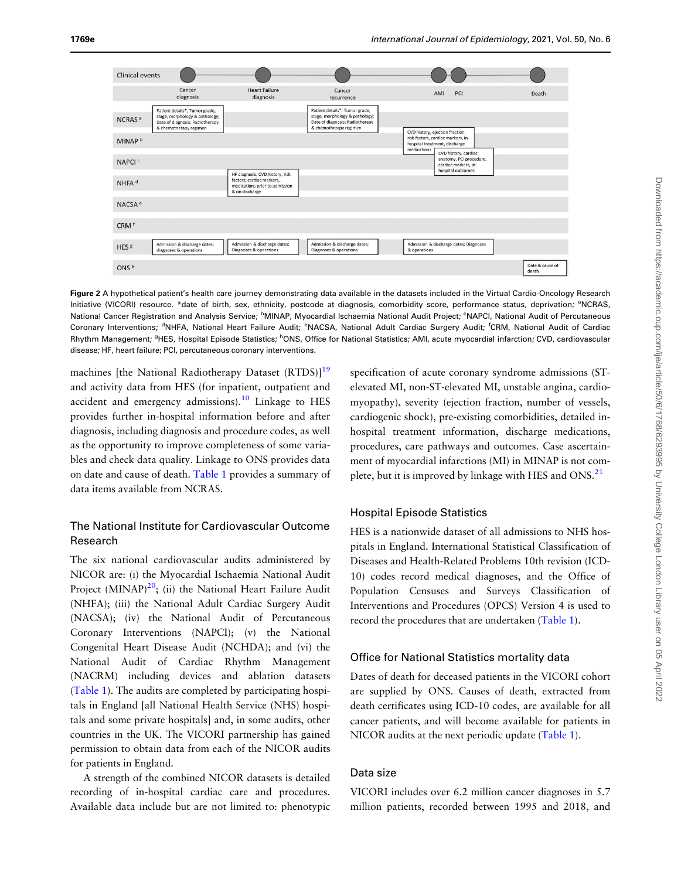<span id="page-6-0"></span>

Figure 2 A hypothetical patient's health care journey demonstrating data available in the datasets included in the Virtual Cardio-Oncology Research Initiative (VICORI) resource. \*date of birth, sex, ethnicity, postcode at diagnosis, comorbidity score, performance status, deprivation; <sup>a</sup>NCRAS, National Cancer Registration and Analysis Service; <sup>b</sup>MINAP, Myocardial Ischaemia National Audit Project; <sup>c</sup>NAPCI, National Audit of Percutaneous Coronary Interventions; <sup>d</sup>NHFA, National Heart Failure Audit; <sup>e</sup>NACSA, National Adult Cardiac Surgery Audit; <sup>f</sup>CRM, National Audit of Cardiac Rhythm Management; <sup>g</sup>HES, Hospital Episode Statistics; <sup>h</sup>ONS, Office for National Statistics; AMI, acute myocardial infarction; CVD, cardiovascular disease; HF, heart failure; PCI, percutaneous coronary interventions.

machines [the National Radiotherapy Dataset (RTDS)]<sup>19</sup> and activity data from HES (for inpatient, outpatient and accident and emergency admissions). $^{10}$  $^{10}$  $^{10}$  Linkage to HES provides further in-hospital information before and after diagnosis, including diagnosis and procedure codes, as well as the opportunity to improve completeness of some variables and check data quality. Linkage to ONS provides data on date and cause of death. [Table 1](#page-3-0) provides a summary of data items available from NCRAS.

# The National Institute for Cardiovascular Outcome Research

The six national cardiovascular audits administered by NICOR are: (i) the Myocardial Ischaemia National Audit Project  $(MINAP)^{20}$ ; (ii) the National Heart Failure Audit (NHFA); (iii) the National Adult Cardiac Surgery Audit (NACSA); (iv) the National Audit of Percutaneous Coronary Interventions (NAPCI); (v) the National Congenital Heart Disease Audit (NCHDA); and (vi) the National Audit of Cardiac Rhythm Management (NACRM) including devices and ablation datasets [\(Table 1](#page-3-0)). The audits are completed by participating hospitals in England [all National Health Service (NHS) hospitals and some private hospitals] and, in some audits, other countries in the UK. The VICORI partnership has gained permission to obtain data from each of the NICOR audits for patients in England.

A strength of the combined NICOR datasets is detailed recording of in-hospital cardiac care and procedures. Available data include but are not limited to: phenotypic specification of acute coronary syndrome admissions (STelevated MI, non-ST-elevated MI, unstable angina, cardiomyopathy), severity (ejection fraction, number of vessels, cardiogenic shock), pre-existing comorbidities, detailed inhospital treatment information, discharge medications, procedures, care pathways and outcomes. Case ascertainment of myocardial infarctions (MI) in MINAP is not complete, but it is improved by linkage with HES and  $ONS<sup>21</sup>$  $ONS<sup>21</sup>$  $ONS<sup>21</sup>$ 

#### Hospital Episode Statistics

HES is a nationwide dataset of all admissions to NHS hospitals in England. International Statistical Classification of Diseases and Health-Related Problems 10th revision (ICD-10) codes record medical diagnoses, and the Office of Population Censuses and Surveys Classification of Interventions and Procedures (OPCS) Version 4 is used to record the procedures that are undertaken ([Table 1\)](#page-3-0).

#### Office for National Statistics mortality data

Dates of death for deceased patients in the VICORI cohort are supplied by ONS. Causes of death, extracted from death certificates using ICD-10 codes, are available for all cancer patients, and will become available for patients in NICOR audits at the next periodic update [\(Table 1](#page-3-0)).

## Data size

VICORI includes over 6.2 million cancer diagnoses in 5.7 million patients, recorded between 1995 and 2018, and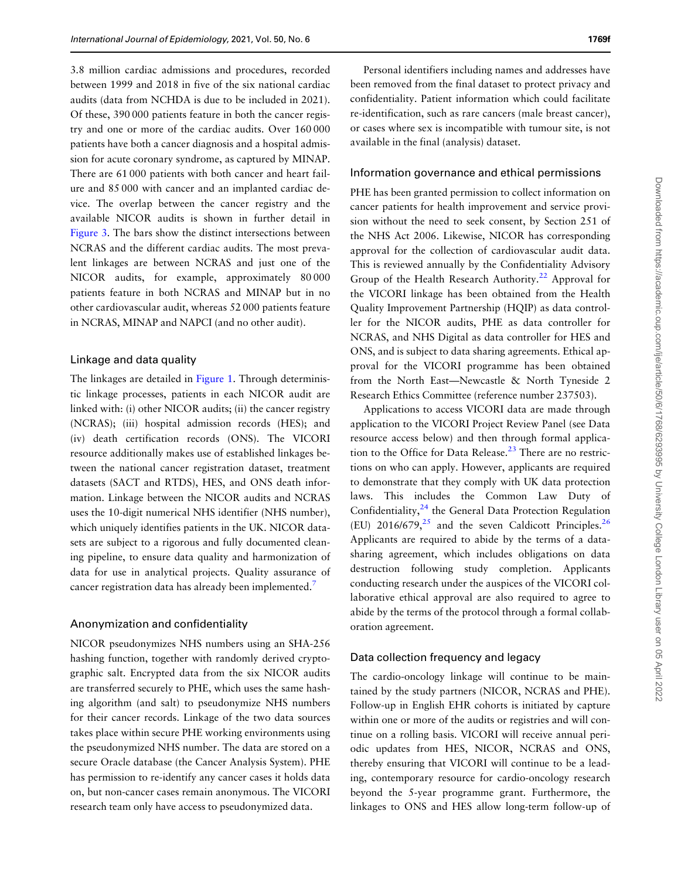<span id="page-7-0"></span>3.8 million cardiac admissions and procedures, recorded between 1999 and 2018 in five of the six national cardiac audits (data from NCHDA is due to be included in 2021). Of these, 390 000 patients feature in both the cancer registry and one or more of the cardiac audits. Over 160 000 patients have both a cancer diagnosis and a hospital admission for acute coronary syndrome, as captured by MINAP. There are 61 000 patients with both cancer and heart failure and 85 000 with cancer and an implanted cardiac device. The overlap between the cancer registry and the available NICOR audits is shown in further detail in [Figure 3](#page-8-0). The bars show the distinct intersections between NCRAS and the different cardiac audits. The most prevalent linkages are between NCRAS and just one of the NICOR audits, for example, approximately 80 000 patients feature in both NCRAS and MINAP but in no other cardiovascular audit, whereas 52 000 patients feature in NCRAS, MINAP and NAPCI (and no other audit).

#### Linkage and data quality

The linkages are detailed in [Figure 1](#page-1-0). Through deterministic linkage processes, patients in each NICOR audit are linked with: (i) other NICOR audits; (ii) the cancer registry (NCRAS); (iii) hospital admission records (HES); and (iv) death certification records (ONS). The VICORI resource additionally makes use of established linkages between the national cancer registration dataset, treatment datasets (SACT and RTDS), HES, and ONS death information. Linkage between the NICOR audits and NCRAS uses the 10-digit numerical NHS identifier (NHS number), which uniquely identifies patients in the UK. NICOR datasets are subject to a rigorous and fully documented cleaning pipeline, to ensure data quality and harmonization of data for use in analytical projects. Quality assurance of cancer registration data has already been implemented.<sup>[7](#page-10-0)</sup>

## Anonymization and confidentiality

NICOR pseudonymizes NHS numbers using an SHA-256 hashing function, together with randomly derived cryptographic salt. Encrypted data from the six NICOR audits are transferred securely to PHE, which uses the same hashing algorithm (and salt) to pseudonymize NHS numbers for their cancer records. Linkage of the two data sources takes place within secure PHE working environments using the pseudonymized NHS number. The data are stored on a secure Oracle database (the Cancer Analysis System). PHE has permission to re-identify any cancer cases it holds data on, but non-cancer cases remain anonymous. The VICORI research team only have access to pseudonymized data.

Personal identifiers including names and addresses have been removed from the final dataset to protect privacy and confidentiality. Patient information which could facilitate re-identification, such as rare cancers (male breast cancer), or cases where sex is incompatible with tumour site, is not available in the final (analysis) dataset.

#### Information governance and ethical permissions

PHE has been granted permission to collect information on cancer patients for health improvement and service provision without the need to seek consent, by Section 251 of the NHS Act 2006. Likewise, NICOR has corresponding approval for the collection of cardiovascular audit data. This is reviewed annually by the Confidentiality Advisory Group of the Health Research Authority.<sup>[22](#page-11-0)</sup> Approval for the VICORI linkage has been obtained from the Health Quality Improvement Partnership (HQIP) as data controller for the NICOR audits, PHE as data controller for NCRAS, and NHS Digital as data controller for HES and ONS, and is subject to data sharing agreements. Ethical approval for the VICORI programme has been obtained from the North East—Newcastle & North Tyneside 2 Research Ethics Committee (reference number 237503).

Applications to access VICORI data are made through application to the VICORI Project Review Panel (see Data resource access below) and then through formal applica-tion to the Office for Data Release.<sup>[23](#page-11-0)</sup> There are no restrictions on who can apply. However, applicants are required to demonstrate that they comply with UK data protection laws. This includes the Common Law Duty of Confidentiality, $24$  the General Data Protection Regulation (EU)  $2016/679<sub>1</sub><sup>25</sup>$  $2016/679<sub>1</sub><sup>25</sup>$  $2016/679<sub>1</sub><sup>25</sup>$  and the seven Caldicott Principles.<sup>26</sup> Applicants are required to abide by the terms of a datasharing agreement, which includes obligations on data destruction following study completion. Applicants conducting research under the auspices of the VICORI collaborative ethical approval are also required to agree to abide by the terms of the protocol through a formal collaboration agreement.

#### Data collection frequency and legacy

The cardio-oncology linkage will continue to be maintained by the study partners (NICOR, NCRAS and PHE). Follow-up in English EHR cohorts is initiated by capture within one or more of the audits or registries and will continue on a rolling basis. VICORI will receive annual periodic updates from HES, NICOR, NCRAS and ONS, thereby ensuring that VICORI will continue to be a leading, contemporary resource for cardio-oncology research beyond the 5-year programme grant. Furthermore, the linkages to ONS and HES allow long-term follow-up of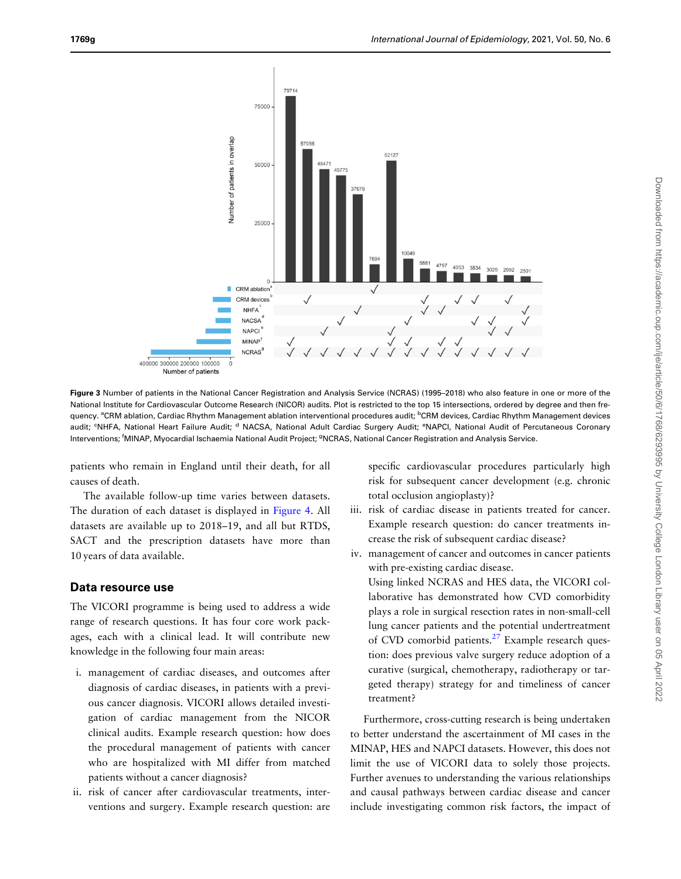<span id="page-8-0"></span>

Figure 3 Number of patients in the National Cancer Registration and Analysis Service (NCRAS) (1995-2018) who also feature in one or more of the National Institute for Cardiovascular Outcome Research (NICOR) audits. Plot is restricted to the top 15 intersections, ordered by degree and then frequency. <sup>a</sup>CRM ablation, Cardiac Rhythm Management ablation interventional procedures audit; <sup>b</sup>CRM devices, Cardiac Rhythm Management devices audit; <sup>c</sup>NHFA, National Heart Failure Audit; <sup>d</sup> NACSA, National Adult Cardiac Surgery Audit; <sup>e</sup>NAPCI, National Audit of Percutaneous Coronary Interventions; <sup>f</sup>MINAP, Myocardial Ischaemia National Audit Project; <sup>g</sup>NCRAS, National Cancer Registration and Analysis Service.

patients who remain in England until their death, for all causes of death.

The available follow-up time varies between datasets. The duration of each dataset is displayed in [Figure 4](#page-9-0). All datasets are available up to 2018–19, and all but RTDS, SACT and the prescription datasets have more than 10 years of data available.

## Data resource use

The VICORI programme is being used to address a wide range of research questions. It has four core work packages, each with a clinical lead. It will contribute new knowledge in the following four main areas:

- i. management of cardiac diseases, and outcomes after diagnosis of cardiac diseases, in patients with a previous cancer diagnosis. VICORI allows detailed investigation of cardiac management from the NICOR clinical audits. Example research question: how does the procedural management of patients with cancer who are hospitalized with MI differ from matched patients without a cancer diagnosis?
- ii. risk of cancer after cardiovascular treatments, interventions and surgery. Example research question: are

specific cardiovascular procedures particularly high risk for subsequent cancer development (e.g. chronic total occlusion angioplasty)?

- iii. risk of cardiac disease in patients treated for cancer. Example research question: do cancer treatments increase the risk of subsequent cardiac disease?
- iv. management of cancer and outcomes in cancer patients with pre-existing cardiac disease.

Using linked NCRAS and HES data, the VICORI collaborative has demonstrated how CVD comorbidity plays a role in surgical resection rates in non-small-cell lung cancer patients and the potential undertreatment of CVD comorbid patients.<sup>[27](#page-11-0)</sup> Example research question: does previous valve surgery reduce adoption of a curative (surgical, chemotherapy, radiotherapy or targeted therapy) strategy for and timeliness of cancer treatment?

Furthermore, cross-cutting research is being undertaken to better understand the ascertainment of MI cases in the MINAP, HES and NAPCI datasets. However, this does not limit the use of VICORI data to solely those projects. Further avenues to understanding the various relationships and causal pathways between cardiac disease and cancer include investigating common risk factors, the impact of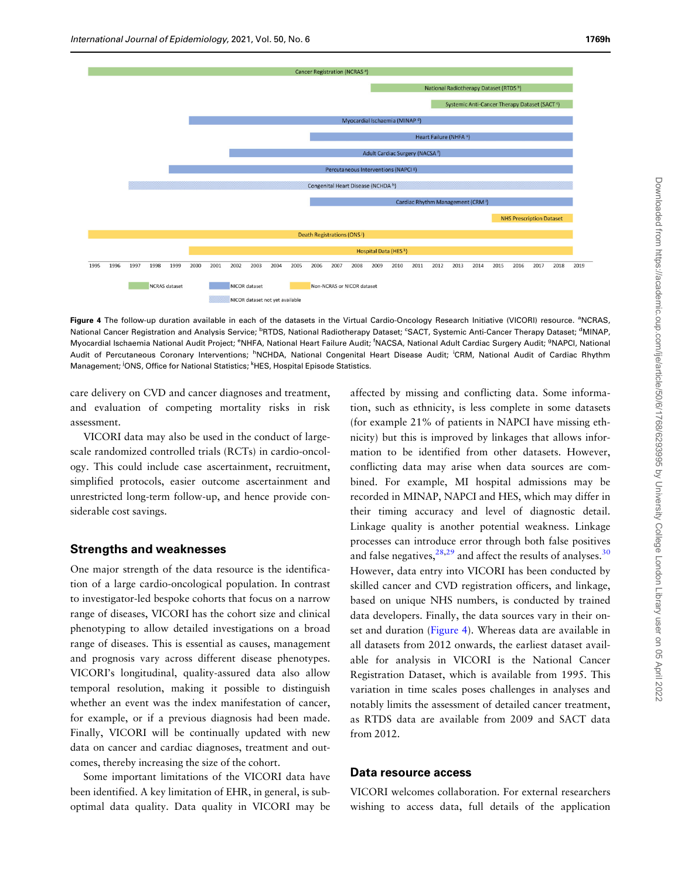<span id="page-9-0"></span>

Figure 4 The follow-up duration available in each of the datasets in the Virtual Cardio-Oncology Research Initiative (VICORI) resource. <sup>a</sup>NCRAS, National Cancer Registration and Analysis Service; <sup>b</sup>RTDS, National Radiotherapy Dataset; <sup>c</sup>SACT, Systemic Anti-Cancer Therapy Dataset; <sup>d</sup>MINAP, Myocardial Ischaemia National Audit Project; <sup>e</sup>NHFA, National Heart Failure Audit; <sup>f</sup>NACSA, National Adult Cardiac Surgery Audit; <sup>g</sup>NAPCI, National Audit of Percutaneous Coronary Interventions; <sup>h</sup>NCHDA, National Congenital Heart Disease Audit; <sup>i</sup>CRM, National Audit of Cardiac Rhythm Management; <sup>j</sup>ONS, Office for National Statistics; <sup>k</sup>HES, Hospital Episode Statistics.

care delivery on CVD and cancer diagnoses and treatment, and evaluation of competing mortality risks in risk assessment.

VICORI data may also be used in the conduct of largescale randomized controlled trials (RCTs) in cardio-oncology. This could include case ascertainment, recruitment, simplified protocols, easier outcome ascertainment and unrestricted long-term follow-up, and hence provide considerable cost savings.

## Strengths and weaknesses

One major strength of the data resource is the identification of a large cardio-oncological population. In contrast to investigator-led bespoke cohorts that focus on a narrow range of diseases, VICORI has the cohort size and clinical phenotyping to allow detailed investigations on a broad range of diseases. This is essential as causes, management and prognosis vary across different disease phenotypes. VICORI's longitudinal, quality-assured data also allow temporal resolution, making it possible to distinguish whether an event was the index manifestation of cancer, for example, or if a previous diagnosis had been made. Finally, VICORI will be continually updated with new data on cancer and cardiac diagnoses, treatment and outcomes, thereby increasing the size of the cohort.

Some important limitations of the VICORI data have been identified. A key limitation of EHR, in general, is suboptimal data quality. Data quality in VICORI may be

affected by missing and conflicting data. Some information, such as ethnicity, is less complete in some datasets (for example 21% of patients in NAPCI have missing ethnicity) but this is improved by linkages that allows information to be identified from other datasets. However, conflicting data may arise when data sources are combined. For example, MI hospital admissions may be recorded in MINAP, NAPCI and HES, which may differ in their timing accuracy and level of diagnostic detail. Linkage quality is another potential weakness. Linkage processes can introduce error through both false positives and false negatives,  $28,29$  and affect the results of analyses.  $30$ However, data entry into VICORI has been conducted by skilled cancer and CVD registration officers, and linkage, based on unique NHS numbers, is conducted by trained data developers. Finally, the data sources vary in their onset and duration (Figure 4). Whereas data are available in all datasets from 2012 onwards, the earliest dataset available for analysis in VICORI is the National Cancer Registration Dataset, which is available from 1995. This variation in time scales poses challenges in analyses and notably limits the assessment of detailed cancer treatment, as RTDS data are available from 2009 and SACT data from 2012.

#### Data resource access

VICORI welcomes collaboration. For external researchers wishing to access data, full details of the application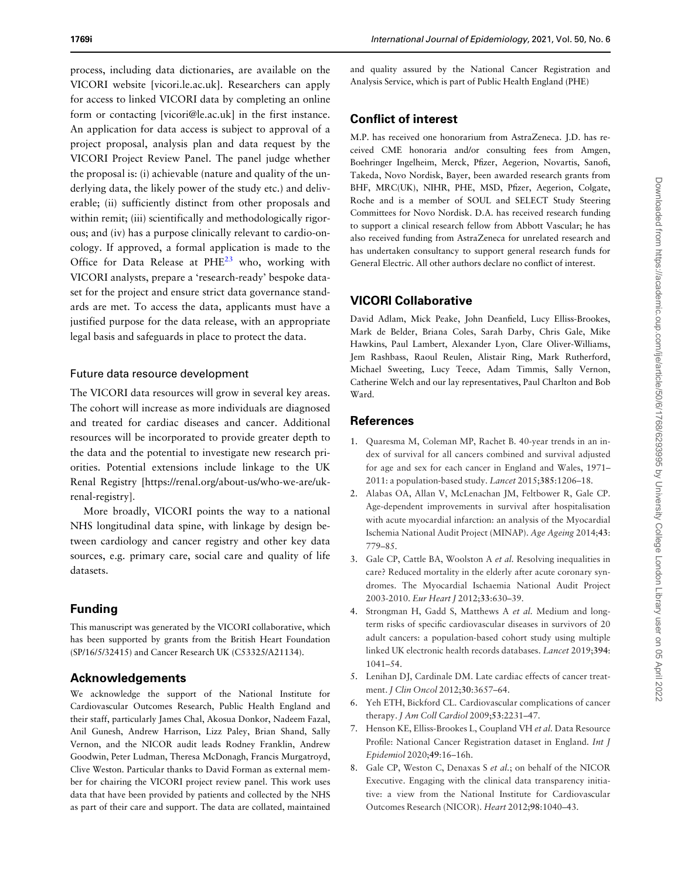<span id="page-10-0"></span>process, including data dictionaries, are available on the VICORI website [vicori.le.ac.uk]. Researchers can apply for access to linked VICORI data by completing an online form or contacting [vicori@le.ac.uk] in the first instance. An application for data access is subject to approval of a project proposal, analysis plan and data request by the VICORI Project Review Panel. The panel judge whether the proposal is: (i) achievable (nature and quality of the underlying data, the likely power of the study etc.) and deliverable; (ii) sufficiently distinct from other proposals and within remit; (iii) scientifically and methodologically rigorous; and (iv) has a purpose clinically relevant to cardio-oncology. If approved, a formal application is made to the Office for Data Release at  $PHE^{23}$  who, working with VICORI analysts, prepare a 'research-ready' bespoke dataset for the project and ensure strict data governance standards are met. To access the data, applicants must have a justified purpose for the data release, with an appropriate legal basis and safeguards in place to protect the data.

#### Future data resource development

The VICORI data resources will grow in several key areas. The cohort will increase as more individuals are diagnosed and treated for cardiac diseases and cancer. Additional resources will be incorporated to provide greater depth to the data and the potential to investigate new research priorities. Potential extensions include linkage to the UK Renal Registry [\[https://renal.org/about-us/who-we-are/uk](https://renal.org/about-us/who-we-are/uk-renal-registry)[renal-registry\]](https://renal.org/about-us/who-we-are/uk-renal-registry).

More broadly, VICORI points the way to a national NHS longitudinal data spine, with linkage by design between cardiology and cancer registry and other key data sources, e.g. primary care, social care and quality of life datasets.

## Funding

This manuscript was generated by the VICORI collaborative, which has been supported by grants from the British Heart Foundation (SP/16/5/32415) and Cancer Research UK (C53325/A21134).

#### Acknowledgements

We acknowledge the support of the National Institute for Cardiovascular Outcomes Research, Public Health England and their staff, particularly James Chal, Akosua Donkor, Nadeem Fazal, Anil Gunesh, Andrew Harrison, Lizz Paley, Brian Shand, Sally Vernon, and the NICOR audit leads Rodney Franklin, Andrew Goodwin, Peter Ludman, Theresa McDonagh, Francis Murgatroyd, Clive Weston. Particular thanks to David Forman as external member for chairing the VICORI project review panel. This work uses data that have been provided by patients and collected by the NHS as part of their care and support. The data are collated, maintained and quality assured by the National Cancer Registration and Analysis Service, which is part of Public Health England (PHE)

## Conflict of interest

M.P. has received one honorarium from AstraZeneca. J.D. has received CME honoraria and/or consulting fees from Amgen, Boehringer Ingelheim, Merck, Pfizer, Aegerion, Novartis, Sanofi, Takeda, Novo Nordisk, Bayer, been awarded research grants from BHF, MRC(UK), NIHR, PHE, MSD, Pfizer, Aegerion, Colgate, Roche and is a member of SOUL and SELECT Study Steering Committees for Novo Nordisk. D.A. has received research funding to support a clinical research fellow from Abbott Vascular; he has also received funding from AstraZeneca for unrelated research and has undertaken consultancy to support general research funds for General Electric. All other authors declare no conflict of interest.

# VICORI Collaborative

David Adlam, Mick Peake, John Deanfield, Lucy Elliss-Brookes, Mark de Belder, Briana Coles, Sarah Darby, Chris Gale, Mike Hawkins, Paul Lambert, Alexander Lyon, Clare Oliver-Williams, Jem Rashbass, Raoul Reulen, Alistair Ring, Mark Rutherford, Michael Sweeting, Lucy Teece, Adam Timmis, Sally Vernon, Catherine Welch and our lay representatives, Paul Charlton and Bob Ward.

## References

- 1. Quaresma M, Coleman MP, Rachet B. 40-year trends in an index of survival for all cancers combined and survival adjusted for age and sex for each cancer in England and Wales, 1971– 2011: a population-based study. Lancet 2015;385:1206–18.
- 2. Alabas OA, Allan V, McLenachan JM, Feltbower R, Gale CP. Age-dependent improvements in survival after hospitalisation with acute myocardial infarction: an analysis of the Myocardial Ischemia National Audit Project (MINAP). Age Ageing 2014;43: 779–85.
- 3. Gale CP, Cattle BA, Woolston A et al. Resolving inequalities in care? Reduced mortality in the elderly after acute coronary syndromes. The Myocardial Ischaemia National Audit Project 2003-2010. Eur Heart J 2012;33:630–39.
- 4. Strongman H, Gadd S, Matthews A et al. Medium and longterm risks of specific cardiovascular diseases in survivors of 20 adult cancers: a population-based cohort study using multiple linked UK electronic health records databases. Lancet 2019;394: 1041–54.
- 5. Lenihan DJ, Cardinale DM. Late cardiac effects of cancer treatment. J Clin Oncol 2012;30:3657–64.
- 6. Yeh ETH, Bickford CL. Cardiovascular complications of cancer therapy. J Am Coll Cardiol 2009;53:2231–47.
- [7.](#page-0-0) Henson KE, Elliss-Brookes L, Coupland VH et al. Data Resource Profile: National Cancer Registration dataset in England. Int J Epidemiol 2020;49:16–16h.
- [8.](#page-0-0) Gale CP, Weston C, Denaxas S et al.; on behalf of the NICOR Executive. Engaging with the clinical data transparency initiative: a view from the National Institute for Cardiovascular Outcomes Research (NICOR). Heart 2012;98:1040–43.